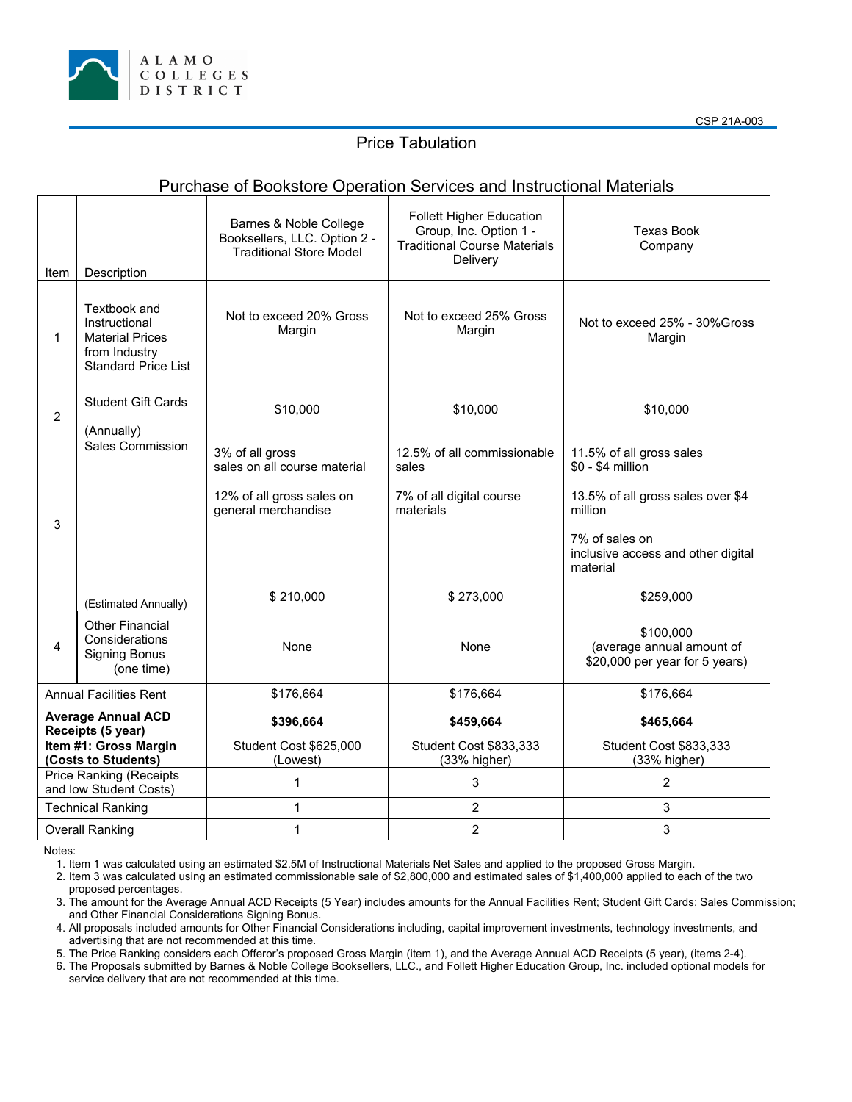

## **Price Tabulation**

## Purchase of Bookstore Operation Services and Instructional Materials

| Item                                                     | Description                                                                                            | Barnes & Noble College<br>Booksellers, LLC. Option 2 -<br><b>Traditional Store Model</b>                         | <b>Follett Higher Education</b><br>Group, Inc. Option 1 -<br><b>Traditional Course Materials</b><br>Delivery | <b>Texas Book</b><br>Company                                                                                                                                                   |
|----------------------------------------------------------|--------------------------------------------------------------------------------------------------------|------------------------------------------------------------------------------------------------------------------|--------------------------------------------------------------------------------------------------------------|--------------------------------------------------------------------------------------------------------------------------------------------------------------------------------|
| $\mathbf 1$                                              | Textbook and<br>Instructional<br><b>Material Prices</b><br>from Industry<br><b>Standard Price List</b> | Not to exceed 20% Gross<br>Margin                                                                                | Not to exceed 25% Gross<br>Margin                                                                            | Not to exceed 25% - 30% Gross<br>Margin                                                                                                                                        |
| $\overline{2}$                                           | <b>Student Gift Cards</b><br>(Annually)                                                                | \$10,000                                                                                                         | \$10,000                                                                                                     | \$10,000                                                                                                                                                                       |
| 3                                                        | <b>Sales Commission</b><br>(Estimated Annually)                                                        | 3% of all gross<br>sales on all course material<br>12% of all gross sales on<br>general merchandise<br>\$210,000 | 12.5% of all commissionable<br>sales<br>7% of all digital course<br>materials<br>\$273,000                   | 11.5% of all gross sales<br>\$0 - \$4 million<br>13.5% of all gross sales over \$4<br>million<br>7% of sales on<br>inclusive access and other digital<br>material<br>\$259,000 |
| 4                                                        | <b>Other Financial</b><br>Considerations<br><b>Signing Bonus</b><br>(one time)                         | None                                                                                                             | None                                                                                                         | \$100,000<br>(average annual amount of<br>\$20,000 per year for 5 years)                                                                                                       |
| <b>Annual Facilities Rent</b>                            |                                                                                                        | \$176,664                                                                                                        | \$176,664                                                                                                    | \$176,664                                                                                                                                                                      |
| <b>Average Annual ACD</b><br>Receipts (5 year)           |                                                                                                        | \$396,664                                                                                                        | \$459,664                                                                                                    | \$465,664                                                                                                                                                                      |
| Item #1: Gross Margin<br>(Costs to Students)             |                                                                                                        | Student Cost \$625,000<br>(Lowest)                                                                               | Student Cost \$833,333<br>(33% higher)                                                                       | Student Cost \$833,333<br>(33% higher)                                                                                                                                         |
| <b>Price Ranking (Receipts</b><br>and low Student Costs) |                                                                                                        | 1                                                                                                                | 3                                                                                                            | $\overline{2}$                                                                                                                                                                 |
| <b>Technical Ranking</b>                                 |                                                                                                        | 1                                                                                                                | $\overline{2}$                                                                                               | 3                                                                                                                                                                              |
| <b>Overall Ranking</b>                                   |                                                                                                        | 1                                                                                                                | $\overline{2}$                                                                                               | 3                                                                                                                                                                              |

Notes:

1. Item 1 was calculated using an estimated \$2.5M of Instructional Materials Net Sales and applied to the proposed Gross Margin.

2. Item 3 was calculated using an estimated commissionable sale of \$2,800,000 and estimated sales of \$1,400,000 applied to each of the two proposed percentages.

3. The amount for the Average Annual ACD Receipts (5 Year) includes amounts for the Annual Facilities Rent; Student Gift Cards; Sales Commission; and Other Financial Considerations Signing Bonus.

4. All proposals included amounts for Other Financial Considerations including, capital improvement investments, technology investments, and advertising that are not recommended at this time.

5. The Price Ranking considers each Offeror's proposed Gross Margin (item 1), and the Average Annual ACD Receipts (5 year), (items 2-4).

6. The Proposals submitted by Barnes & Noble College Booksellers, LLC., and Follett Higher Education Group, Inc. included optional models for service delivery that are not recommended at this time.